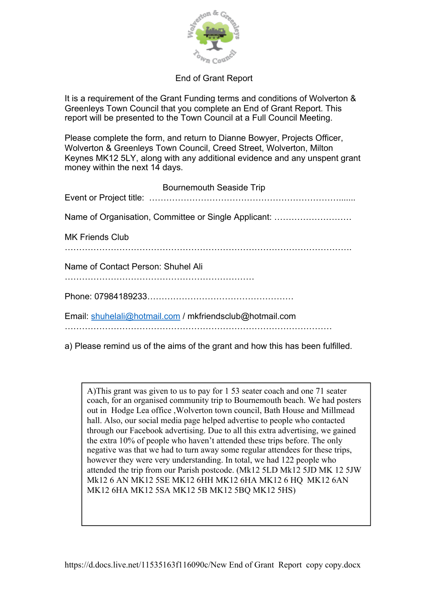

## End of Grant Report

It is a requirement of the Grant Funding terms and conditions of Wolverton & Greenleys Town Council that you complete an End of Grant Report. This report will be presented to the Town Council at a Full Council Meeting.

Please complete the form, and return to Dianne Bowyer, Projects Officer, Wolverton & Greenleys Town Council, Creed Street, Wolverton, Milton Keynes MK12 5LY, along with any additional evidence and any unspent grant money within the next 14 days.

| <b>Bournemouth Seaside Trip</b>                          |
|----------------------------------------------------------|
| Name of Organisation, Committee or Single Applicant:     |
| <b>MK Friends Club</b>                                   |
| Name of Contact Person: Shuhel Ali                       |
|                                                          |
| Email: shuhelali@hotmail.com / mkfriendsclub@hotmail.com |
|                                                          |

a) Please remind us of the aims of the grant and how this has been fulfilled.

A)This grant was given to us to pay for 1 53 seater coach and one 71 seater coach, for an organised community trip to Bournemouth beach. We had posters out in Hodge Lea office ,Wolverton town council, Bath House and Millmead hall. Also, our social media page helped advertise to people who contacted through our Facebook advertising. Due to all this extra advertising, we gained the extra 10% of people who haven't attended these trips before. The only negative was that we had to turn away some regular attendees for these trips, however they were very understanding. In total, we had 122 people who attended the trip from our Parish postcode. (Mk12 5LD Mk12 5JD MK 12 5JW Mk12 6 AN MK12 5SE MK12 6HH MK12 6HA MK12 6 HQ MK12 6AN MK12 6HA MK12 5SA MK12 5B MK12 5BQ MK12 5HS)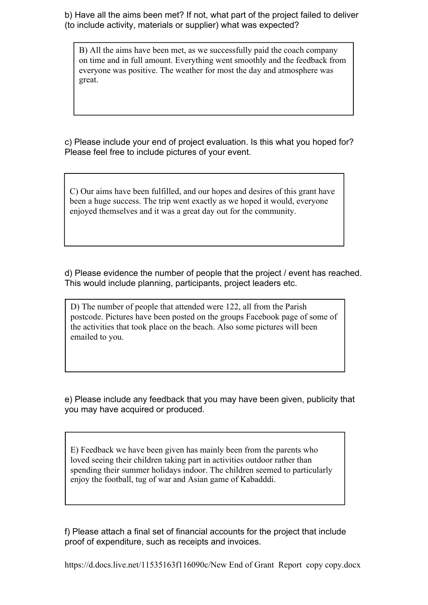b) Have all the aims been met? If not, what part of the project failed to deliver (to include activity, materials or supplier) what was expected?

B) All the aims have been met, as we successfully paid the coach company on time and in full amount. Everything went smoothly and the feedback from everyone was positive. The weather for most the day and atmosphere was great.

c) Please include your end of project evaluation. Is this what you hoped for? Please feel free to include pictures of your event.

C) Our aims have been fulfilled, and our hopes and desires of this grant have been a huge success. The trip went exactly as we hoped it would, everyone enjoyed themselves and it was a great day out for the community.

d) Please evidence the number of people that the project / event has reached. This would include planning, participants, project leaders etc.

D) The number of people that attended were 122, all from the Parish postcode. Pictures have been posted on the groups Facebook page of some of the activities that took place on the beach. Also some pictures will been emailed to you.

e) Please include any feedback that you may have been given, publicity that you may have acquired or produced.

E) Feedback we have been given has mainly been from the parents who loved seeing their children taking part in activities outdoor rather than spending their summer holidays indoor. The children seemed to particularly enjoy the football, tug of war and Asian game of Kabadddi.

f) Please attach a final set of financial accounts for the project that include proof of expenditure, such as receipts and invoices.

https://d.docs.live.net/11535163f116090c/New End of Grant Report copy copy.docx